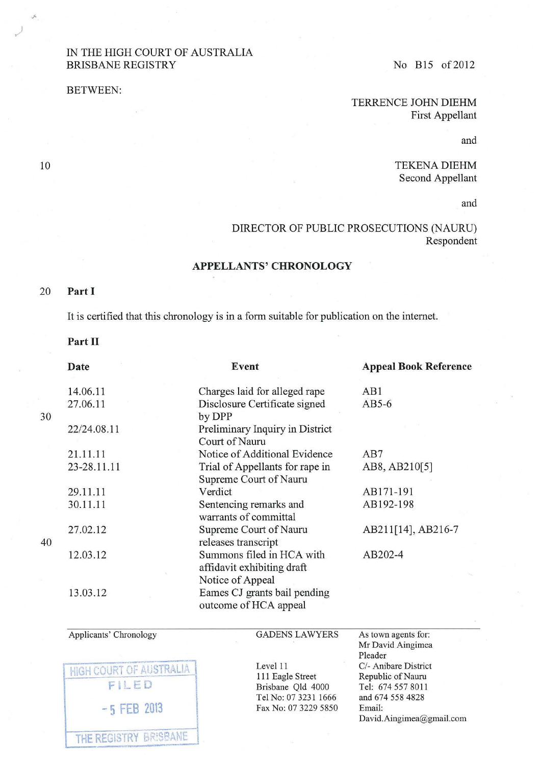## IN THE HIGH COURT OF AUSTRALIA BRISBANE REGISTRY No B15 of 2012

BETWEEN:

*)* 

TERRENCE JOHN DIEHM First Appellant

and

TEKENA DIEHM Second Appellant

and

DIRECTOR OF PUBLIC PROSECUTIONS (NAURU) Respondent

## APPELLANTS' CHRONOLOGY

## 20 Part I

10

It is certified that this chronology is in a form suitable for publication on the internet.

## Part II

|    | <b>Date</b> | Event                                                                       | <b>Appeal Book Reference</b> |
|----|-------------|-----------------------------------------------------------------------------|------------------------------|
|    | 14.06.11    | Charges laid for alleged rape                                               | AB1                          |
|    | 27.06.11    | Disclosure Certificate signed                                               | $AB5-6$                      |
| 30 |             | by DPP                                                                      |                              |
|    | 22/24.08.11 | Preliminary Inquiry in District<br>Court of Nauru                           |                              |
|    | 21.11.11    | Notice of Additional Evidence                                               | AB7                          |
|    | 23-28.11.11 | Trial of Appellants for rape in<br>Supreme Court of Nauru                   | AB8, AB210[5]                |
|    | 29.11.11    | Verdict                                                                     | AB171-191                    |
|    | 30.11.11    | Sentencing remarks and<br>warrants of committal                             | AB192-198                    |
| 40 | 27.02.12    | Supreme Court of Nauru<br>releases transcript                               | AB211[14], AB216-7           |
|    | 12.03.12    | Summons filed in HCA with<br>affidavit exhibiting draft<br>Notice of Appeal | AB202-4                      |
|    | 13.03.12    | Eames CJ grants bail pending<br>outcome of HCA appeal                       |                              |
|    |             |                                                                             |                              |

Applicants' Chronology

**GADENS LAWYERS** 

**HIGH COURT OF AUSTRALIA** FILED -5 FEB 2013 THE REGISTRY BR!S8ANE

Level 11 111 Eagle Street Brisbane Qld 4000 Tel No: 07 3231 1666 Fax No: 07 3229 5850 As town agents for: Mr David Aingimea Pleader *Cl-* Anibare District Republic of Nauru Tel: 674 557 8011 and 674 558 4828 Email: David.Aingimea@gmail.com